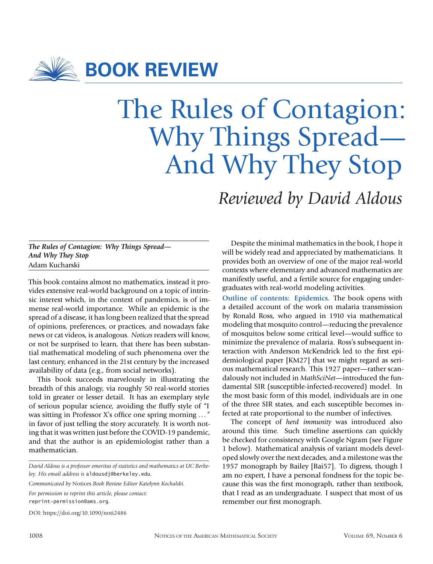

**BOOK REVIEW**

## The Rules of Contagion: Why Things Spread— And Why They Stop

*Reviewed by David Aldous*

## *The Rules of Contagion: Why Things Spread— And Why They Stop* Adam Kucharski

This book contains almost no mathematics, instead it provides extensive real-world background on a topic of intrinsic interest which, in the context of pandemics, is of immense real-world importance. While an epidemic is the spread of a disease, it has long been realized that the spread of opinions, preferences, or practices, and nowadays fake news or cat videos, is analogous. *Notices* readers will know, or not be surprised to learn, that there has been substantial mathematical modeling of such phenomena over the last century, enhanced in the 21st century by the increased availability of data (e.g., from social networks).

This book succeeds marvelously in illustrating the breadth of this analogy, via roughly 50 real-world stories told in greater or lesser detail. It has an exemplary style of serious popular science, avoiding the fluffy style of "I was sitting in Professor X's office one spring morning .. . " in favor of just telling the story accurately. It is worth noting that it was written just before the COVID-19 pandemic, and that the author is an epidemiologist rather than a mathematician.

*Communicated by* Notices *Book Review Editor Katelynn Kochalski. For permission to reprint this article, please contact:* reprint-permission@ams.org*.*

DOI: https://doi.org/10.1090/noti2486

Despite the minimal mathematics in the book, I hope it will be widely read and appreciated by mathematicians. It provides both an overview of one of the major real-world contexts where elementary and advanced mathematics are manifestly useful, and a fertile source for engaging undergraduates with real-world modeling activities.

**Outline of contents: Epidemics.** The book opens with a detailed account of the work on malaria transmission by Ronald Ross, who argued in 1910 via mathematical modeling that mosquito control—reducing the prevalence of mosquitos below some critical level—would suffice to minimize the prevalence of malaria. Ross's subsequent interaction with Anderson McKendrick led to the first epidemiological paper [KM27] that we might regard as serious mathematical research. This 1927 paper—rather scandalously not included in *MathSciNet*—introduced the fundamental SIR (susceptible-infected-recovered) model. In the most basic form of this model, individuals are in one of the three SIR states, and each susceptible becomes infected at rate proportional to the number of infectives.

The concept of *herd immunity* was introduced also around this time. Such timeline assertions can quickly be checked for consistency with Google Ngram (see Figure 1 below). Mathematical analysis of variant models developed slowly over the next decades, and a milestone was the 1957 monograph by Bailey [Bai57]. To digress, though I am no expert, I have a personal fondness for the topic because this was the first monograph, rather than textbook, that I read as an undergraduate. I suspect that most of us remember our first monograph.

*David Aldous is a professor emeritus of statistics and mathematics at UC Berkeley. His email address is* aldousdj@berkeley.edu*.*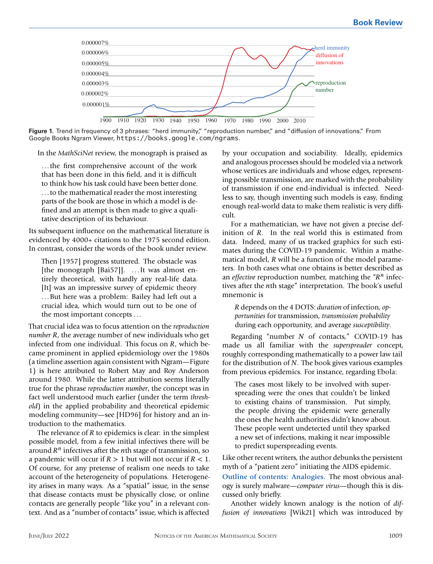

Figure 1. Trend in frequency of 3 phrases: "herd immunity," "reproduction number," and "diffusion of innovations." From Google Books Ngram Viewer, https://books.google.com/ngrams.

In the *MathSciNet* review, the monograph is praised as

.. . the first comprehensive account of the work that has been done in this field, and it is difficult to think how his task could have been better done. .. . to the mathematical reader the most interesting parts of the book are those in which a model is defined and an attempt is then made to give a qualitative description of its behaviour.

Its subsequent influence on the mathematical literature is evidenced by 4000+ citations to the 1975 second edition. In contrast, consider the words of the book under review.

Then [1957] progress stuttered. The obstacle was [the monograph [Bai57]]. . .. It was almost entirely theoretical, with hardly any real-life data. [It] was an impressive survey of epidemic theory .. . But here was a problem: Bailey had left out a crucial idea, which would turn out to be one of the most important concepts .. .

That crucial idea was to focus attention on the *reproduction number R*, the average number of new individuals who get infected from one individual. This focus on *, which be*came prominent in applied epidemiology over the 1980s (a timeline assertion again consistent with Ngram—Figure 1) is here attributed to Robert May and Roy Anderson around 1980. While the latter attribution seems literally true for the phrase *reproduction number*, the concept was in fact well understood much earlier (under the term *threshold*) in the applied probability and theoretical epidemic modeling community—see [HD96] for history and an introduction to the mathematics.

The relevance of  $R$  to epidemics is clear: in the simplest possible model, from a few initial infectives there will be around  $R<sup>n</sup>$  infectives after the nth stage of transmission, so a pandemic will occur if  $R > 1$  but will not occur if  $R < 1$ . Of course, for any pretense of realism one needs to take account of the heterogeneity of populations. Heterogeneity arises in many ways. As a "spatial" issue, in the sense that disease contacts must be physically close, or online contacts are generally people "like you" in a relevant context. And as a "number of contacts" issue, which is affected

by your occupation and sociability. Ideally, epidemics and analogous processes should be modeled via a network whose vertices are individuals and whose edges, representing possible transmission, are marked with the probability of transmission if one end-individual is infected. Needless to say, though inventing such models is easy, finding enough real-world data to make them realistic is very difficult.

For a mathematician, we have not given a precise definition of  $R$ . In the real world this is estimated from data. Indeed, many of us tracked graphics for such estimates during the COVID-19 pandemic. Within a mathematical model,  $R$  will be a function of the model parameters. In both cases what one obtains is better described as an *effective* reproduction number, matching the "R<sup>n</sup> infectives after the nth stage" interpretation. The book's useful mnemonic is

 depends on the 4 DOTS: *duration* of infection, *opportunities* for transmission, *transmission probability* during each opportunity, and average *susceptibility*.

Regarding "number  $N$  of contacts," COVID-19 has made us all familiar with the *superspreader* concept, roughly corresponding mathematically to a power law tail for the distribution of  $N$ . The book gives various examples from previous epidemics. For instance, regarding Ebola:

The cases most likely to be involved with superspreading were the ones that couldn't be linked to existing chains of transmission. Put simply, the people driving the epidemic were generally the ones the health authorities didn't know about. These people went undetected until they sparked a new set of infections, making it near impossible to predict superspreading events.

Like other recent writers, the author debunks the persistent myth of a "patient zero" initiating the AIDS epidemic. **Outline of contents: Analogies.** The most obvious analogy is surely malware—*computer virus*—though this is discussed only briefly.

Another widely known analogy is the notion of *diffusion of innovations* [Wik21] which was introduced by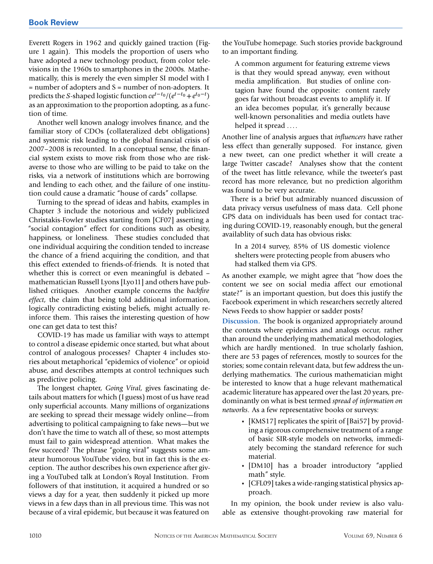Everett Rogers in 1962 and quickly gained traction (Figure 1 again). This models the proportion of users who have adopted a new technology product, from color televisions in the 1960s to smartphones in the 2000s. Mathematically, this is merely the even simpler SI model with I = number of adopters and S = number of non-adopters. It predicts the S-shaped logistic function  $ce^{t-t_0}/(e^{t-t_0}+e^{t_0-t})$ as an approximation to the proportion adopting, as a function of time.

Another well known analogy involves finance, and the familiar story of CDOs (collateralized debt obligations) and systemic risk leading to the global financial crisis of 2007–2008 is recounted. In a conceptual sense, the financial system exists to move risk from those who are riskaverse to those who are willing to be paid to take on the risks, via a network of institutions which are borrowing and lending to each other, and the failure of one institution could cause a dramatic "house of cards" collapse.

Turning to the spread of ideas and habits, examples in Chapter 3 include the notorious and widely publicized Christakis-Fowler studies starting from [CF07] asserting a "social contagion" effect for conditions such as obesity, happiness, or loneliness. These studies concluded that one individual acquiring the condition tended to increase the chance of a friend acquiring the condition, and that this effect extended to friends-of-friends. It is noted that whether this is correct or even meaningful is debated – mathematician Russell Lyons [Lyo11] and others have published critiques. Another example concerns the *backfire effect*, the claim that being told additional information, logically contradicting existing beliefs, might actually reinforce them. This raises the interesting question of how one can get data to test this?

COVID-19 has made us familiar with ways to attempt to control a disease epidemic once started, but what about control of analogous processes? Chapter 4 includes stories about metaphorical "epidemics of violence" or opioid abuse, and describes attempts at control techniques such as predictive policing.

The longest chapter, *Going Viral*, gives fascinating details about matters for which (I guess) most of us have read only superficial accounts. Many millions of organizations are seeking to spread their message widely online—from advertising to political campaigning to fake news—but we don't have the time to watch all of these, so most attempts must fail to gain widespread attention. What makes the few succeed? The phrase "going viral" suggests some amateur humorous YouTube video, but in fact this is the exception. The author describes his own experience after giving a YouTubed talk at London's Royal Institution. From followers of that institution, it acquired a hundred or so views a day for a year, then suddenly it picked up more views in a few days than in all previous time. This was not because of a viral epidemic, but because it was featured on

the YouTube homepage. Such stories provide background to an important finding.

A common argument for featuring extreme views is that they would spread anyway, even without media amplification. But studies of online contagion have found the opposite: content rarely goes far without broadcast events to amplify it. If an idea becomes popular, it's generally because well-known personalities and media outlets have helped it spread ....

Another line of analysis argues that *influencers* have rather less effect than generally supposed. For instance, given a new tweet, can one predict whether it will create a large Twitter cascade? Analyses show that the content of the tweet has little relevance, while the tweeter's past record has more relevance, but no prediction algorithm was found to be very accurate.

There is a brief but admirably nuanced discussion of data privacy versus usefulness of mass data. Cell phone GPS data on individuals has been used for contact tracing during COVID-19, reasonably enough, but the general availablity of such data has obvious risks:

In a 2014 survey, 85% of US domestic violence shelters were protecting people from abusers who had stalked them via GPS.

As another example, we might agree that "how does the content we see on social media affect our emotional state?" is an important question, but does this justify the Facebook experiment in which researchers secretly altered News Feeds to show happier or sadder posts?

**Discussion.** The book is organized appropriately around the contexts where epidemics and analogs occur, rather than around the underlying mathematical methodologies, which are hardly mentioned. In true scholarly fashion, there are 53 pages of references, mostly to sources for the stories; some contain relevant data, but few address the underlying mathematics. The curious mathematician might be interested to know that a huge relevant mathematical academic literature has appeared over the last 20 years, predominantly on what is best termed *spread of information on networks*. As a few representative books or surveys:

- [KMS17] replicates the spirit of [Bai57] by providing a rigorous comprehensive treatment of a range of basic SIR-style models on networks, immediately becoming the standard reference for such material.
- [DM10] has a broader introductory "applied math" style.
- [CFL09] takes a wide-ranging statistical physics approach.

In my opinion, the book under review is also valuable as extensive thought-provoking raw material for